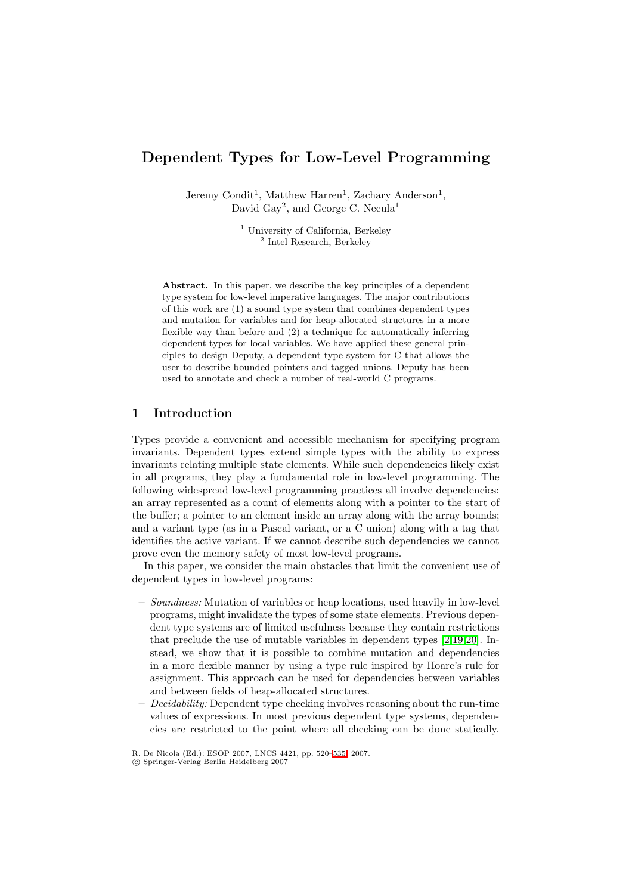# **Dependent Types for Low-Level Programming**

Jeremy Condit<sup>1</sup>, Matthew Harren<sup>1</sup>, Zachary Anderson<sup>1</sup>, David Gay<sup>2</sup>, and George C. Necula<sup>1</sup>

> <sup>1</sup> University of California, Berkeley <sup>2</sup> Intel Research, Berkeley

**Abstract.** In this paper, we describe the key principles of a dependent type system for low-level imperative languages. The major contributions of this work are (1) a sound type system that combines dependent types and mutation for variables and for heap-allocated structures in a more flexible way than before and (2) a technique for automatically inferring dependent types for local variables. We have applied these general principles to design Deputy, a dependent type system for C that allows the user to describe bounded pointers and tagged unions. Deputy has been used to annotate and check a number of real-world C programs.

# **1 Introduction**

Types provide a convenient and accessible mechanism for specifying program invariants. Dependent types extend simple types with the ability to express invariants relating multiple state elements. While such dependencies likely exist in all programs, they play a fundamental role in low-level programming. The following widespread low-level programming practices all involve dependencies: an array represented as a count of elements along with a pointer to the start of the buffer; a pointer to an element inside an array along with the array bounds; and a variant type (as in a Pascal variant, or a C union) along with a tag that identifies the active variant. If we cannot describe such dependencies we cannot prove even the memory safety of most low-level programs.

In this paper, we consider the main obstacles that limit the convenient use of dependent types in low-level programs:

- **–** Soundness: Mutation of variables or heap locations, used heavily in low-level programs, might invalidate the types of some state elements. Previous dependent type systems are of limited usefulness because they contain restrictions that preclude the use of mutable variables in dependent types [\[2](#page-15-0)[,19,](#page-15-1)[20\]](#page-15-2). Instead, we show that it is possible to combine mutation and dependencies in a more flexible manner by using a type rule inspired by Hoare's rule for assignment. This approach can be used for dependencies between variables and between fields of heap-allocated structures.
- **–** Decidability: Dependent type checking involves reasoning about the run-time values of expressions. In most previous dependent type systems, dependencies are restricted to the point where all checking can be done statically.

R. De Nicola (Ed.): ESOP 2007, LNCS 4421, pp. 520[–535,](#page-15-3) 2007.

<sup>-</sup>c Springer-Verlag Berlin Heidelberg 2007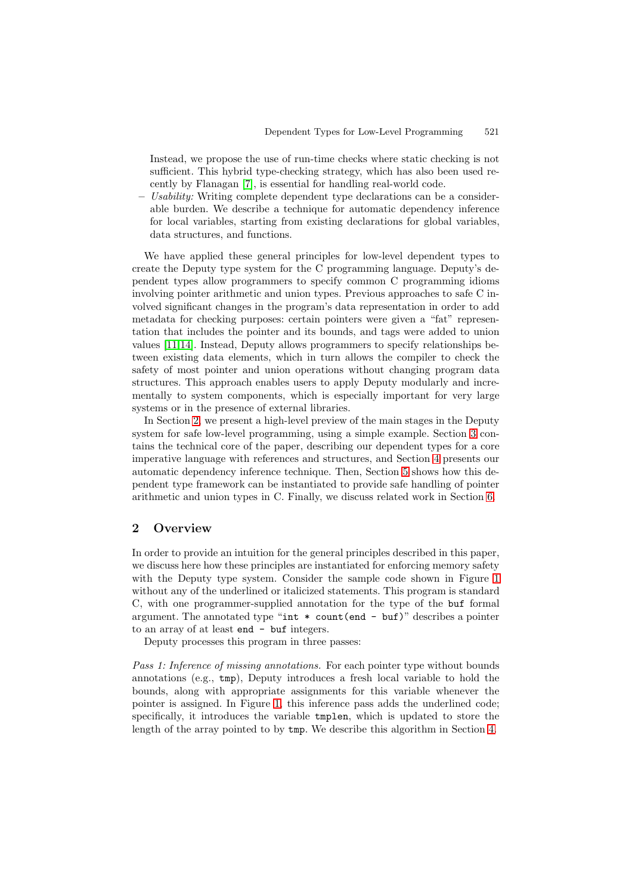Instead, we propose the use of run-time checks where static checking is not sufficient. This hybrid type-checking strategy, which has also been used recently by Flanagan [\[7\]](#page-15-4), is essential for handling real-world code.

**–** Usability: Writing complete dependent type declarations can be a considerable burden. We describe a technique for automatic dependency inference for local variables, starting from existing declarations for global variables, data structures, and functions.

We have applied these general principles for low-level dependent types to create the Deputy type system for the C programming language. Deputy's dependent types allow programmers to specify common C programming idioms involving pointer arithmetic and union types. Previous approaches to safe C involved significant changes in the program's data representation in order to add metadata for checking purposes: certain pointers were given a "fat" representation that includes the pointer and its bounds, and tags were added to union values [\[11,](#page-15-5)[14\]](#page-15-6). Instead, Deputy allows programmers to specify relationships between existing data elements, which in turn allows the compiler to check the safety of most pointer and union operations without changing program data structures. This approach enables users to apply Deputy modularly and incrementally to system components, which is especially important for very large systems or in the presence of external libraries.

In Section [2,](#page-1-0) we present a high-level preview of the main stages in the Deputy system for safe low-level programming, using a simple example. Section [3](#page-3-0) contains the technical core of the paper, describing our dependent types for a core imperative language with references and structures, and Section [4](#page-9-0) presents our automatic dependency inference technique. Then, Section [5](#page-10-0) shows how this dependent type framework can be instantiated to provide safe handling of pointer arithmetic and union types in C. Finally, we discuss related work in Section [6.](#page-13-0)

### <span id="page-1-0"></span>**2 Overview**

In order to provide an intuition for the general principles described in this paper, we discuss here how these principles are instantiated for enforcing memory safety with the Deputy type system. Consider the sample code shown in Figure [1](#page-2-0) without any of the underlined or italicized statements. This program is standard C, with one programmer-supplied annotation for the type of the buf formal argument. The annotated type "int  $*$  count (end - buf)" describes a pointer to an array of at least end - buf integers.

Deputy processes this program in three passes:

Pass 1: Inference of missing annotations. For each pointer type without bounds annotations (e.g., tmp), Deputy introduces a fresh local variable to hold the bounds, along with appropriate assignments for this variable whenever the pointer is assigned. In Figure [1,](#page-2-0) this inference pass adds the underlined code; specifically, it introduces the variable tmplen, which is updated to store the length of the array pointed to by tmp. We describe this algorithm in Section [4.](#page-9-0)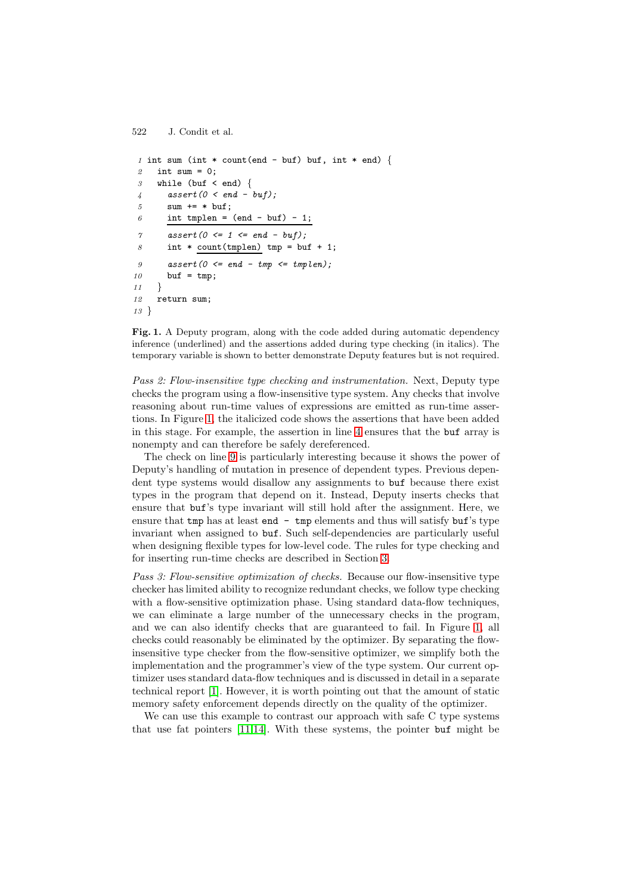```
1 int sum (int * count(end - buf) buf, int * end) {
2 int sum = 0:
3 while (buf < end) {
\mu assert (0 < end - buf):
5 sum += * buf;
6 int tmplen = (end - but) - 1;
\gamma assert (0 <= 1 <= end - buf);
8 int * count(tmplen) tmp = buf + 1;
9 assert (0 \leq end - tmp \leq tmplen);10 buf = tmp;
11 }
12 return sum;
13 }
```
<span id="page-2-2"></span><span id="page-2-0"></span>**Fig. 1.** A Deputy program, along with the code added during automatic dependency inference (underlined) and the assertions added during type checking (in italics). The temporary variable is shown to better demonstrate Deputy features but is not required.

Pass 2: Flow-insensitive type checking and instrumentation. Next, Deputy type checks the program using a flow-insensitive type system. Any checks that involve reasoning about run-time values of expressions are emitted as run-time assertions. In Figure [1,](#page-2-0) the italicized code shows the assertions that have been added in this stage. For example, the assertion in line [4](#page-2-1) ensures that the buf array is nonempty and can therefore be safely dereferenced.

The check on line [9](#page-2-2) is particularly interesting because it shows the power of Deputy's handling of mutation in presence of dependent types. Previous dependent type systems would disallow any assignments to buf because there exist types in the program that depend on it. Instead, Deputy inserts checks that ensure that buf's type invariant will still hold after the assignment. Here, we ensure that tmp has at least end - tmp elements and thus will satisfy buf's type invariant when assigned to buf. Such self-dependencies are particularly useful when designing flexible types for low-level code. The rules for type checking and for inserting run-time checks are described in Section [3.](#page-3-0)

Pass 3: Flow-sensitive optimization of checks. Because our flow-insensitive type checker has limited ability to recognize redundant checks, we follow type checking with a flow-sensitive optimization phase. Using standard data-flow techniques, we can eliminate a large number of the unnecessary checks in the program, and we can also identify checks that are guaranteed to fail. In Figure [1,](#page-2-0) all checks could reasonably be eliminated by the optimizer. By separating the flowinsensitive type checker from the flow-sensitive optimizer, we simplify both the implementation and the programmer's view of the type system. Our current optimizer uses standard data-flow techniques and is discussed in detail in a separate technical report [\[1\]](#page-15-7). However, it is worth pointing out that the amount of static memory safety enforcement depends directly on the quality of the optimizer.

We can use this example to contrast our approach with safe C type systems that use fat pointers [\[11](#page-15-5)[,14\]](#page-15-6). With these systems, the pointer buf might be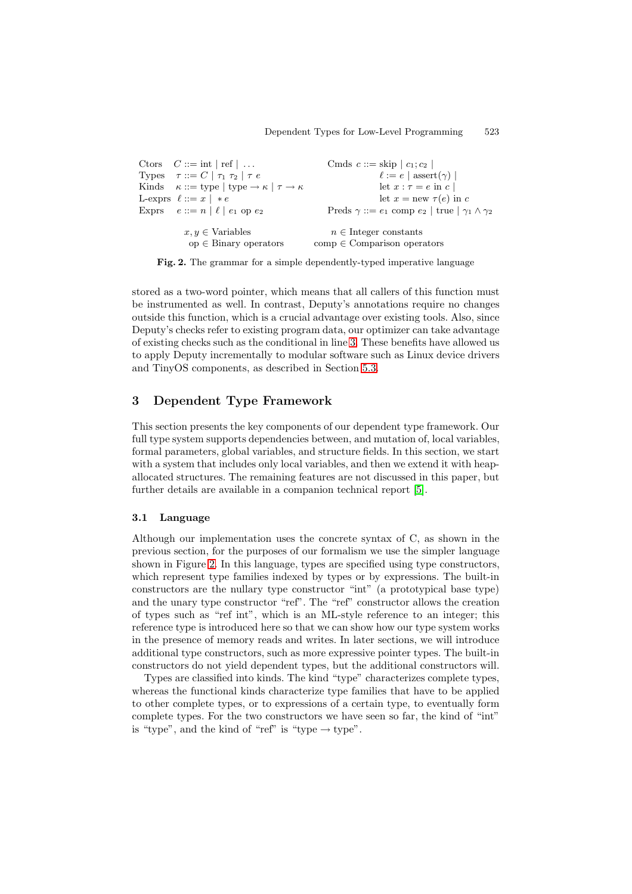| Ctors $C ::= \text{int}   \text{ref}   $                                             | Cmds $c ::=$ skip $ c_1; c_2 $                                        |
|--------------------------------------------------------------------------------------|-----------------------------------------------------------------------|
| Types $\tau ::= C   \tau_1   \tau_2   \tau e$                                        | $\ell := e \mid \text{assert}(\gamma) \mid$                           |
| Kinds $\kappa ::=$ type $ \text{ type} \rightarrow \kappa   \tau \rightarrow \kappa$ | let $x : \tau = e$ in c                                               |
| L-exprs $\ell ::= x \mid *e$                                                         | let $x = new \tau(e)$ in c                                            |
| Exprs $e ::= n   \ell   e_1$ op $e_2$                                                | Preds $\gamma ::= e_1$ comp $e_2$   true   $\gamma_1 \wedge \gamma_2$ |
| $x, y \in \text{Variables}$                                                          | $n \in$ Integer constants                                             |
| $op \in$ Binary operators                                                            | $comp \in Comparison$ operators                                       |

**Fig. 2.** The grammar for a simple dependently-typed imperative language

<span id="page-3-1"></span>stored as a two-word pointer, which means that all callers of this function must be instrumented as well. In contrast, Deputy's annotations require no changes outside this function, which is a crucial advantage over existing tools. Also, since Deputy's checks refer to existing program data, our optimizer can take advantage of existing checks such as the conditional in line [3.](#page-2-3) These benefits have allowed us to apply Deputy incrementally to modular software such as Linux device drivers and TinyOS components, as described in Section [5.3.](#page-12-0)

# <span id="page-3-0"></span>**3 Dependent Type Framework**

This section presents the key components of our dependent type framework. Our full type system supports dependencies between, and mutation of, local variables, formal parameters, global variables, and structure fields. In this section, we start with a system that includes only local variables, and then we extend it with heapallocated structures. The remaining features are not discussed in this paper, but further details are available in a companion technical report [\[5\]](#page-15-8).

#### **3.1 Language**

Although our implementation uses the concrete syntax of C, as shown in the previous section, for the purposes of our formalism we use the simpler language shown in Figure [2.](#page-3-1) In this language, types are specified using type constructors, which represent type families indexed by types or by expressions. The built-in constructors are the nullary type constructor "int" (a prototypical base type) and the unary type constructor "ref". The "ref" constructor allows the creation of types such as "ref int", which is an ML-style reference to an integer; this reference type is introduced here so that we can show how our type system works in the presence of memory reads and writes. In later sections, we will introduce additional type constructors, such as more expressive pointer types. The built-in constructors do not yield dependent types, but the additional constructors will.

Types are classified into kinds. The kind "type" characterizes complete types, whereas the functional kinds characterize type families that have to be applied to other complete types, or to expressions of a certain type, to eventually form complete types. For the two constructors we have seen so far, the kind of "int" is "type", and the kind of "ref" is "type  $\rightarrow$  type".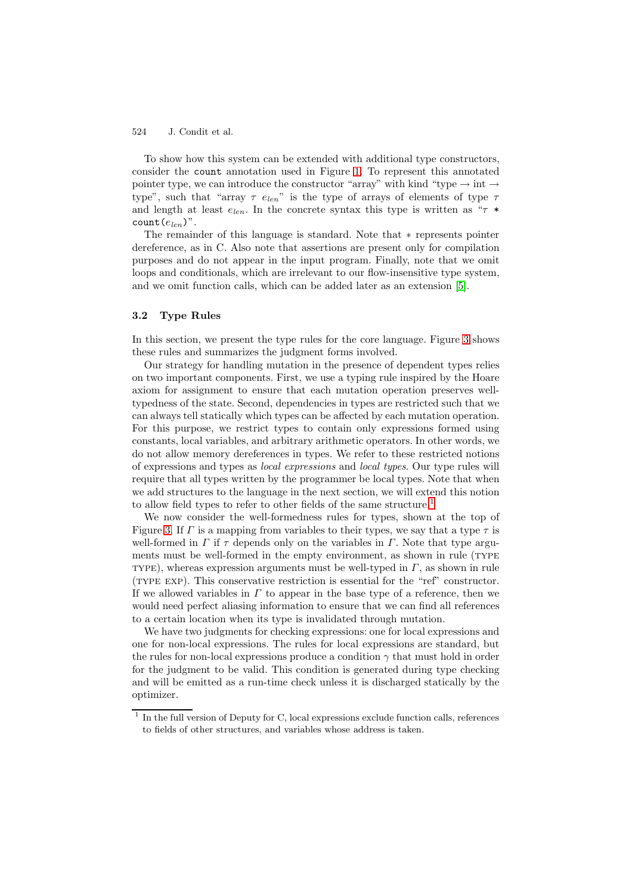To show how this system can be extended with additional type constructors, consider the count annotation used in Figure [1.](#page-2-0) To represent this annotated pointer type, we can introduce the constructor "array" with kind "type  $\rightarrow$  int  $\rightarrow$ type", such that "array  $\tau$   $e_{len}$ " is the type of arrays of elements of type  $\tau$ and length at least  $e_{len}$ . In the concrete syntax this type is written as " $\tau$  \* count  $(e_{len})$ ".

The remainder of this language is standard. Note that ∗ represents pointer dereference, as in C. Also note that assertions are present only for compilation purposes and do not appear in the input program. Finally, note that we omit loops and conditionals, which are irrelevant to our flow-insensitive type system, and we omit function calls, which can be added later as an extension [\[5\]](#page-15-8).

#### <span id="page-4-1"></span>**3.2 Type Rules**

In this section, we present the type rules for the core language. Figure [3](#page-5-0) shows these rules and summarizes the judgment forms involved.

Our strategy for handling mutation in the presence of dependent types relies on two important components. First, we use a typing rule inspired by the Hoare axiom for assignment to ensure that each mutation operation preserves welltypedness of the state. Second, dependencies in types are restricted such that we can always tell statically which types can be affected by each mutation operation. For this purpose, we restrict types to contain only expressions formed using constants, local variables, and arbitrary arithmetic operators. In other words, we do not allow memory dereferences in types. We refer to these restricted notions of expressions and types as local expressions and local types. Our type rules will require that all types written by the programmer be local types. Note that when we add structures to the language in the next section, we will extend this notion to allow field types to refer to other fields of the same structure.[1](#page-4-0)

We now consider the well-formedness rules for types, shown at the top of Figure [3.](#page-5-0) If  $\Gamma$  is a mapping from variables to their types, we say that a type  $\tau$  is well-formed in  $\Gamma$  if  $\tau$  depends only on the variables in  $\Gamma$ . Note that type arguments must be well-formed in the empty environment, as shown in rule (TYPE TYPE), whereas expression arguments must be well-typed in  $\Gamma$ , as shown in rule (type exp). This conservative restriction is essential for the "ref" constructor. If we allowed variables in  $\Gamma$  to appear in the base type of a reference, then we would need perfect aliasing information to ensure that we can find all references to a certain location when its type is invalidated through mutation.

We have two judgments for checking expressions: one for local expressions and one for non-local expressions. The rules for local expressions are standard, but the rules for non-local expressions produce a condition  $\gamma$  that must hold in order for the judgment to be valid. This condition is generated during type checking and will be emitted as a run-time check unless it is discharged statically by the optimizer.

<span id="page-4-0"></span><sup>1</sup> In the full version of Deputy for C, local expressions exclude function calls, references to fields of other structures, and variables whose address is taken.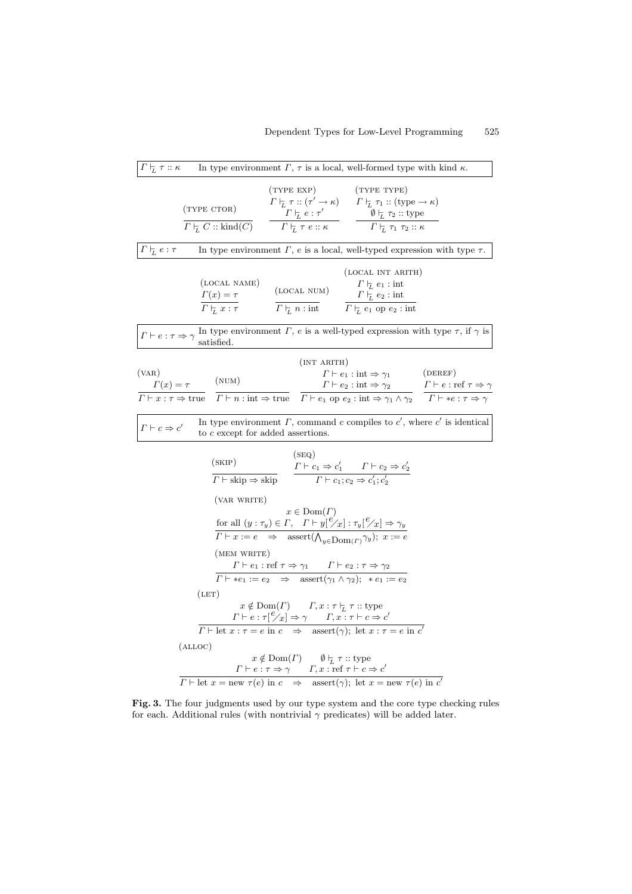| $\Gamma \vdash_L \tau :: \kappa$  | In type environment $\Gamma$ , $\tau$ is a local, well-formed type with kind $\kappa$ . |                                                                                                                                                                                                                                                                                                                                                                                                                                                                                      |                                                                                                                                                                                                                                                                                                                                                                                                                                                                                                                                                                                                                                                                                                                                                          |  |  |  |
|-----------------------------------|-----------------------------------------------------------------------------------------|--------------------------------------------------------------------------------------------------------------------------------------------------------------------------------------------------------------------------------------------------------------------------------------------------------------------------------------------------------------------------------------------------------------------------------------------------------------------------------------|----------------------------------------------------------------------------------------------------------------------------------------------------------------------------------------------------------------------------------------------------------------------------------------------------------------------------------------------------------------------------------------------------------------------------------------------------------------------------------------------------------------------------------------------------------------------------------------------------------------------------------------------------------------------------------------------------------------------------------------------------------|--|--|--|
|                                   |                                                                                         | (TYPE EXP)                                                                                                                                                                                                                                                                                                                                                                                                                                                                           | (TYPE TYPE)<br>$\frac{(\text{Type cron})}{\Gamma \models_{\overline{L}} C::\text{kind}(C)} \quad \begin{array}{ccc} \Gamma \models_{\overline{L}} \tau :: (\tau' \to \kappa) & \Gamma \models_{\overline{L}} \tau_1 :: (\text{type} \to \kappa) \\ \frac{\Gamma \models_{\overline{L}} e:\tau'}{\Gamma \models_{\overline{L}} \tau e::\kappa} & \begin{array}{ccc} \emptyset \models_{\overline{L}} \tau_1 :: (\text{type} \to \kappa) \\ \frac{\emptyset \models_{\overline{L}} \tau_2 :: \text{type}}{\Gamma \models_{\overline{L}} \tau_1 \tau_2 :: \kappa} \end{array} \end{$                                                                                                                                                                        |  |  |  |
| $\varGamma\vdash_{\!\!L} e:\tau$  |                                                                                         |                                                                                                                                                                                                                                                                                                                                                                                                                                                                                      | In type environment $\varGamma,$ $e$ is a local, well-typed expression with type $\tau.$                                                                                                                                                                                                                                                                                                                                                                                                                                                                                                                                                                                                                                                                 |  |  |  |
|                                   |                                                                                         |                                                                                                                                                                                                                                                                                                                                                                                                                                                                                      | (LOCAL INT ARITH)<br>$\begin{array}{ccc} \text{(LOCAL NAME)} \\ \hline \varGamma(\mbox{\boldmath $x$}) = \tau \\ \hline \varGamma \mbox{\boldmath $\tau$}_L \mbox{\boldmath $x$} : \tau \end{array} \qquad \begin{array}{c} \text{(LOCAL NUM)} \\ \text{(LOCAL NUM)} \end{array} \qquad \begin{array}{c} \varGamma \mbox{\boldmath $\tau$}_L \; e_1: \mbox{\boldmath $ \rm{int}} \\ \hline \varGamma \mbox{\boldmath $\tau$}_L \; e_2: \mbox{\boldmath $ \rm{int}} \\ \hline \varGamma \mbox{\boldmath $\tau$}_L \; e_1 \; \mbox{\boldmath $\mathrm{op}} \; e$<br>$\boxed{I \vdash e : \tau \Rightarrow \gamma \text{ In type environment } I, e \text{ is a well-type} d \text{ expression with type } \tau, \text{ if } \gamma \text{ is satisfied.}}$ |  |  |  |
|                                   |                                                                                         |                                                                                                                                                                                                                                                                                                                                                                                                                                                                                      |                                                                                                                                                                                                                                                                                                                                                                                                                                                                                                                                                                                                                                                                                                                                                          |  |  |  |
| (VAR)                             |                                                                                         | (INT ARITH)                                                                                                                                                                                                                                                                                                                                                                                                                                                                          | $\begin{array}{ll} \mbox{(VAR)}\\ \hline \\ \mbox{$\Gamma$\vdash x:\tau\Rightarrow\text{true}$} \end{array} \begin{array}{ll} \mbox{(NUM)}\\ \mbox{$\Gamma$\vdash e_1:\text{int}\Rightarrow\gamma_1$} \end{array} \begin{array}{ll} \mbox{$\Gamma$\vdash e_1:\text{int}\Rightarrow\gamma_1$} \mbox{(DEREF)}\\ \mbox{$\Gamma$\vdash x:\tau\Rightarrow\text{true}$} \end{array} \begin{array}{ll} \mbox{(PEREF)}\\ \mbox{$\Gamma$\vdash e_2:\text{int}\Rightarrow\gamma_2$} \end{array} \begin{array}{ll} \mbox{(DEREF)}\\ \mbox{(PEREF$                                                                                                                                                                                                                   |  |  |  |
| $\varGamma\vdash c\Rightarrow c'$ | (SKIP)                                                                                  | to c except for added assertions.                                                                                                                                                                                                                                                                                                                                                                                                                                                    | In type environment $\Gamma$ , command $c$ compiles to $c'$ , where $c'$ is identical                                                                                                                                                                                                                                                                                                                                                                                                                                                                                                                                                                                                                                                                    |  |  |  |
|                                   |                                                                                         | $\cfrac{(\text{8KIP})}{\Gamma \vdash \text{skip} \Rightarrow \text{skip}} \qquad \cfrac{\Gamma \vdash c_1 \Rightarrow c_1' \qquad \Gamma \vdash c_2 \Rightarrow c_2'}{\Gamma \vdash c_1; c_2 \Rightarrow c_1' : c_2'}$                                                                                                                                                                                                                                                               |                                                                                                                                                                                                                                                                                                                                                                                                                                                                                                                                                                                                                                                                                                                                                          |  |  |  |
|                                   | (VAR WRITE)<br>(MEM WRITE)<br>(LET)                                                     | $x \in \text{Dom}(\Gamma)$<br>for all $(y:\tau_y) \in \Gamma$ , $\Gamma \vdash y[\ell \check{Z}x] : \tau_y[\ell \check{Z}x] \Rightarrow \gamma_y$<br>$\Gamma \vdash x := e \Rightarrow \text{assert}(\bigwedge_{y \in \text{Dom}(\Gamma)} \gamma_y); \ x := e$<br>$\frac{\Gamma \vdash e_1 : \text{ref } \tau \Rightarrow \gamma_1 \qquad \Gamma \vdash e_2 : \tau \Rightarrow \gamma_2}{\Gamma \vdash *e_1 := e_2 \Rightarrow \text{assert}(\gamma_1 \land \gamma_2); *e_1 := e_2}$ | $\begin{array}{cc} x\notin {\rm Dom}(\varGamma)&\varGamma,x:\tau\vdash_{\!\!\! L}\tau::\text{type}\\ \hline \varGamma\vdash e:\tau[{}^{\mathcal C}\!\! /x]\Rightarrow \gamma&\varGamma,x:\tau\vdash c\Rightarrow c'\\ \hline \varGamma\vdash \text{let }x:\tau=e\text{ in }c&\Rightarrow&\text{assert}(\gamma);\text{ let }x:\tau=e\text{ in }c'\end{array}$                                                                                                                                                                                                                                                                                                                                                                                             |  |  |  |
|                                   | (ALLOC)                                                                                 |                                                                                                                                                                                                                                                                                                                                                                                                                                                                                      |                                                                                                                                                                                                                                                                                                                                                                                                                                                                                                                                                                                                                                                                                                                                                          |  |  |  |
|                                   |                                                                                         | $x \notin \text{Dom}(\Gamma) \qquad \emptyset \vdash_{\overline{L}} \tau :: \text{type}$<br>$\Gamma \vdash e : \tau \Rightarrow \gamma$ $\Gamma, x : \text{ref } \tau \vdash c \Rightarrow c'$                                                                                                                                                                                                                                                                                       | $\Gamma \vdash \mathrm{let} \ x = \mathrm{new} \ \tau(e) \text{ in} \ c \Rightarrow \text{ assert}(\gamma); \text{ let } x = \mathrm{new} \ \tau(e) \text{ in} \ c'$                                                                                                                                                                                                                                                                                                                                                                                                                                                                                                                                                                                     |  |  |  |
|                                   |                                                                                         |                                                                                                                                                                                                                                                                                                                                                                                                                                                                                      |                                                                                                                                                                                                                                                                                                                                                                                                                                                                                                                                                                                                                                                                                                                                                          |  |  |  |

<span id="page-5-0"></span>**Fig. 3.** The four judgments used by our type system and the core type checking rules for each. Additional rules (with nontrivial  $\gamma$  predicates) will be added later.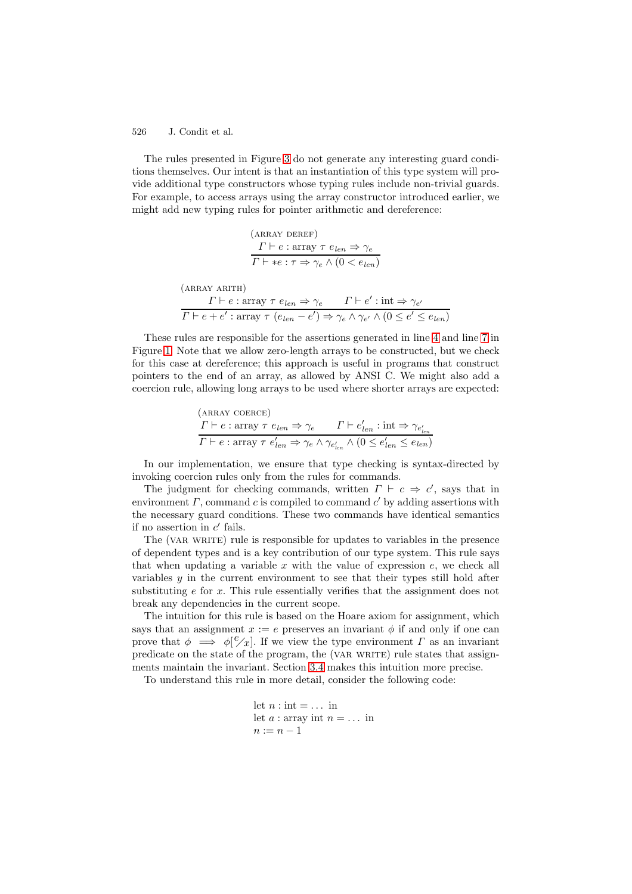The rules presented in Figure [3](#page-5-0) do not generate any interesting guard conditions themselves. Our intent is that an instantiation of this type system will provide additional type constructors whose typing rules include non-trivial guards. For example, to access arrays using the array constructor introduced earlier, we might add new typing rules for pointer arithmetic and dereference:

$$
( \text{ARRAY DEREF})
$$
  
\n
$$
\Gamma \vdash e : \text{array } \tau e_{len} \Rightarrow \gamma_e
$$
  
\n
$$
\Gamma \vdash *e : \tau \Rightarrow \gamma_e \land (0 < e_{len})
$$

$$
\frac{(\text{ARRAY ARITH})}{\Gamma \vdash e : \text{array } \tau e_{len} \Rightarrow \gamma_e \qquad \Gamma \vdash e' : \text{int} \Rightarrow \gamma_{e'} }{\Gamma \vdash e + e' : \text{array } \tau (e_{len} - e') \Rightarrow \gamma_e \land \gamma_{e'} \land (0 \le e' \le e_{len})}
$$

These rules are responsible for the assertions generated in line [4](#page-2-1) and line [7](#page-2-4) in Figure [1.](#page-2-0) Note that we allow zero-length arrays to be constructed, but we check for this case at dereference; this approach is useful in programs that construct pointers to the end of an array, as allowed by ANSI C. We might also add a coercion rule, allowing long arrays to be used where shorter arrays are expected:

$$
\begin{array}{l} \text{(ARRAY COERCE)}\\[2ex] \underline{\Gamma \vdash e : \text{array}~ \tau~ e_{len} \Rightarrow \gamma_e~~\Gamma \vdash e'_{len} : \text{int} \Rightarrow \gamma_{e'_{len}} }\\[2ex] \overline{\Gamma \vdash e : \text{array}~ \tau~ e'_{len} \Rightarrow \gamma_e \wedge \gamma_{e'_{len}} \wedge (0 \leq e'_{len} \leq e_{len}) } \end{array}
$$

In our implementation, we ensure that type checking is syntax-directed by invoking coercion rules only from the rules for commands.

The judgment for checking commands, written  $\Gamma \vdash c \Rightarrow c'$ , says that in environment  $\Gamma$ , command c is compiled to command c' by adding assertions with the necessary guard conditions. These two commands have identical semantics if no assertion in  $c'$  fails.

The (VAR WRITE) rule is responsible for updates to variables in the presence of dependent types and is a key contribution of our type system. This rule says that when updating a variable x with the value of expression  $e$ , we check all variables  $y$  in the current environment to see that their types still hold after substituting  $e$  for  $x$ . This rule essentially verifies that the assignment does not break any dependencies in the current scope.

The intuition for this rule is based on the Hoare axiom for assignment, which says that an assignment  $x := e$  preserves an invariant  $\phi$  if and only if one can prove that  $\phi \implies \phi[\mathscr{C}_X]$ . If we view the type environment  $\Gamma$  as an invariant predicate on the state of the program, the (VAR WRITE) rule states that assignments maintain the invariant. Section [3.4](#page-8-0) makes this intuition more precise.

To understand this rule in more detail, consider the following code:

let 
$$
n : \text{int} = \dots
$$
 in  
let  $a : \text{array} \text{int } n = \dots$  in  
 $n := n - 1$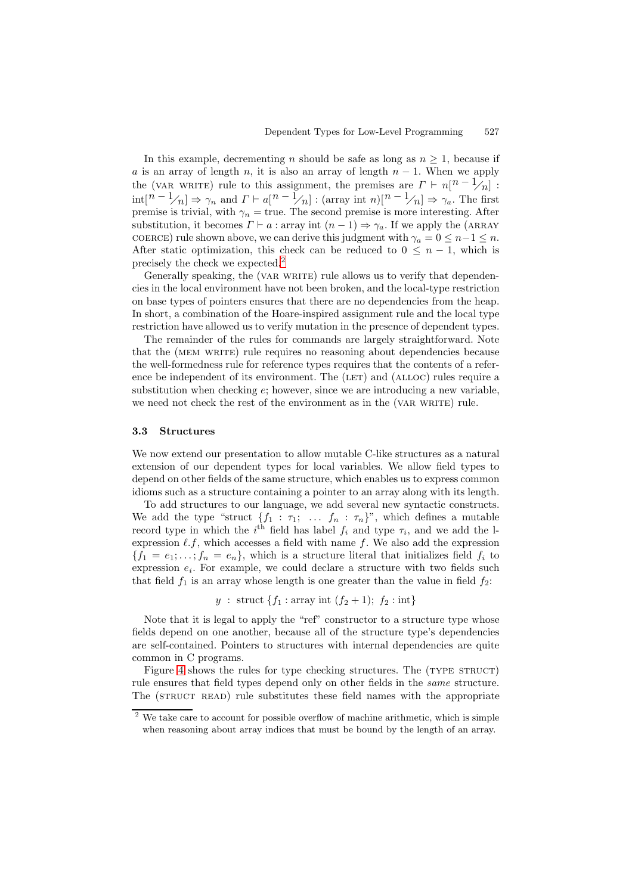In this example, decrementing *n* should be safe as long as  $n \geq 1$ , because if a is an array of length n, it is also an array of length  $n-1$ . When we apply the (VAR WRITE) rule to this assignment, the premises are  $\Gamma \vdash n[n-1/n]$ :  $\text{int}[n-1/n] \Rightarrow \gamma_n \text{ and } \Gamma \vdash a[n-1/n] : (\text{array int } n)[n-1/n] \Rightarrow \gamma_a.$  The first premise is trivial, with  $\gamma_n = \text{true}$ . The second premise is more interesting. After substitution, it becomes  $\Gamma \vdash a : \text{array int } (n-1) \Rightarrow \gamma_a$ . If we apply the (ARRAY coerce) rule shown above, we can derive this judgment with  $\gamma_a = 0 \leq n-1 \leq n$ . After static optimization, this check can be reduced to  $0 \leq n-1$ , which is precisely the check we expected.[2](#page-7-0)

Generally speaking, the (VAR WRITE) rule allows us to verify that dependencies in the local environment have not been broken, and the local-type restriction on base types of pointers ensures that there are no dependencies from the heap. In short, a combination of the Hoare-inspired assignment rule and the local type restriction have allowed us to verify mutation in the presence of dependent types.

The remainder of the rules for commands are largely straightforward. Note that the (mem write) rule requires no reasoning about dependencies because the well-formedness rule for reference types requires that the contents of a reference be independent of its environment. The (LET) and (ALLOC) rules require a substitution when checking  $e$ ; however, since we are introducing a new variable, we need not check the rest of the environment as in the (VAR WRITE) rule.

#### **3.3 Structures**

We now extend our presentation to allow mutable C-like structures as a natural extension of our dependent types for local variables. We allow field types to depend on other fields of the same structure, which enables us to express common idioms such as a structure containing a pointer to an array along with its length.

To add structures to our language, we add several new syntactic constructs. We add the type "struct  $\{f_1 : \tau_1; \ldots; f_n : \tau_n\}$ ", which defines a mutable record type in which the *i*<sup>th</sup> field has label  $f_i$  and type  $\tau_i$ , and we add the lexpression  $\ell.f$ , which accesses a field with name f. We also add the expression  ${f_1 = e_1; \ldots; f_n = e_n}$ , which is a structure literal that initializes field  $f_i$  to expression  $e_i$ . For example, we could declare a structure with two fields such that field  $f_1$  is an array whose length is one greater than the value in field  $f_2$ :

$$
y : struct \{f_1 : array int (f_2 + 1); f_2 : int\}
$$

Note that it is legal to apply the "ref" constructor to a structure type whose fields depend on one another, because all of the structure type's dependencies are self-contained. Pointers to structures with internal dependencies are quite common in C programs.

Figure [4](#page-8-1) shows the rules for type checking structures. The (TYPE STRUCT) rule ensures that field types depend only on other fields in the same structure. The (STRUCT READ) rule substitutes these field names with the appropriate

<span id="page-7-0"></span>We take care to account for possible overflow of machine arithmetic, which is simple when reasoning about array indices that must be bound by the length of an array.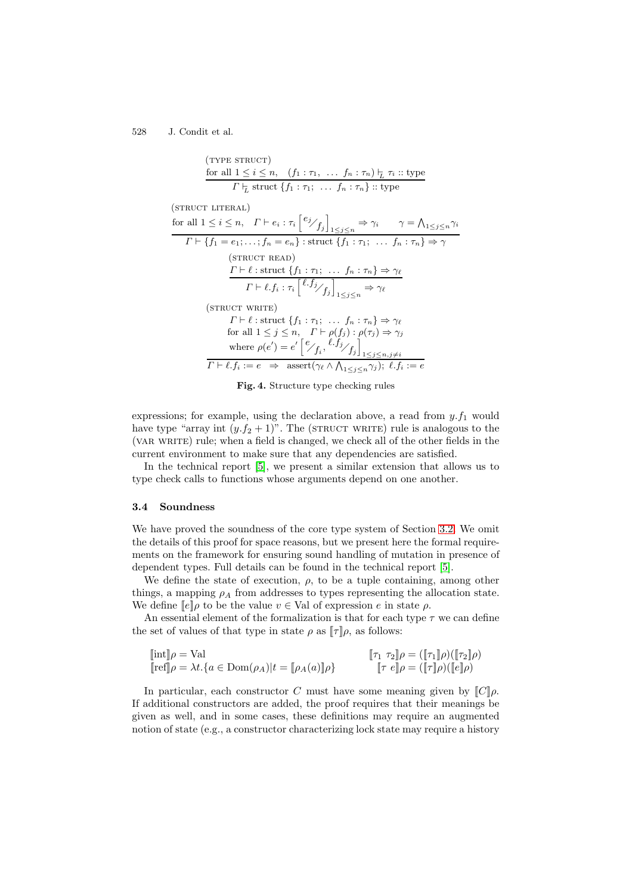(TYPE STRUCT)  
\nfor all 
$$
1 \le i \le n
$$
,  $(f_1 : \tau_1, \ldots, f_n : \tau_n) \upharpoonright_{\overline{L}} \tau_i$ :: type  
\n $\Gamma \upharpoonright_{\overline{L}}$  struct  $\{f_1 : \tau_1; \ldots, f_n : \tau_n\}$ :: type  
\n(STRUCT LITERAL)  
\nfor all  $1 \le i \le n$ ,  $\Gamma \vdash e_i : \tau_i \left[\frac{e_j}{f_j}\right]_{1 \le j \le n} \Rightarrow \gamma_i \qquad \gamma = \bigwedge_{1 \le j \le n} \gamma_i$   
\n $\Gamma \vdash \{f_1 = e_1; \ldots; f_n = e_n\}$ : struct  $\{f_1 : \tau_1; \ldots, f_n : \tau_n\} \Rightarrow \gamma$   
\n(STRUCT READ)  
\n $\Gamma \vdash \ell : \text{struct}\{f_1 : \tau_1; \ldots, f_n : \tau_n\} \Rightarrow \gamma_\ell$   
\n(STRUCT WRITE)  
\n $\Gamma \vdash \ell : \text{struct}\{f_1 : \tau_1; \ldots, f_n : \tau_n\} \Rightarrow \gamma_\ell$   
\nfor all  $1 \le j \le n$ ,  $\Gamma \vdash \rho(f_j) : \rho(\tau_j) \Rightarrow \gamma_j$   
\nwhere  $\rho(e') = e' \left[\frac{e}{f_i}, \frac{\ell, f_j}{f_j}\right]_{1 \le j \le n, j \ne i}$   
\n $\Gamma \vdash \ell, f_i := e \Rightarrow \text{assert}(\gamma_\ell \wedge \bigwedge_{1 \le j \le n} \gamma_j); \ \ell, f_i := e$ 

<span id="page-8-1"></span>**Fig. 4.** Structure type checking rules

expressions; for example, using the declaration above, a read from  $y.f_1$  would have type "array int  $(y.f_2 + 1)$ ". The (STRUCT WRITE) rule is analogous to the (VAR WRITE) rule; when a field is changed, we check all of the other fields in the current environment to make sure that any dependencies are satisfied.

In the technical report [\[5\]](#page-15-8), we present a similar extension that allows us to type check calls to functions whose arguments depend on one another.

#### <span id="page-8-0"></span>**3.4 Soundness**

We have proved the soundness of the core type system of Section [3.2.](#page-4-1) We omit the details of this proof for space reasons, but we present here the formal requirements on the framework for ensuring sound handling of mutation in presence of dependent types. Full details can be found in the technical report [\[5\]](#page-15-8).

We define the state of execution,  $\rho$ , to be a tuple containing, among other things, a mapping  $\rho_A$  from addresses to types representing the allocation state. We define  $\llbracket e \rrbracket \rho$  to be the value  $v \in$  Val of expression e in state  $\rho$ .

An essential element of the formalization is that for each type  $\tau$  we can define the set of values of that type in state  $\rho$  as  $[\![\tau]\!] \rho$ , as follows:

| $\lbrack\lbrack\mathsf{int}\rbrack\rbrack \rho = \text{Val}$                                                                           | $[\![\tau_1 \; \tau_2]\!] \rho = ([\![\tau_1]\!] \rho) ([\![\tau_2]\!] \rho)$ |
|----------------------------------------------------------------------------------------------------------------------------------------|-------------------------------------------------------------------------------|
| $\llbracket \text{ref} \rrbracket \rho = \lambda t \cdot \{a \in \text{Dom}(\rho_A) \vert t = \llbracket \rho_A(a) \rrbracket \rho \}$ | $[\![\tau \; e]\!] \rho = ([\![\tau]\!] \rho) ([\![e]\!] \rho)$               |

In particular, each constructor C must have some meaning given by  $\llbracket C \rrbracket \rho$ . If additional constructors are added, the proof requires that their meanings be given as well, and in some cases, these definitions may require an augmented notion of state (e.g., a constructor characterizing lock state may require a history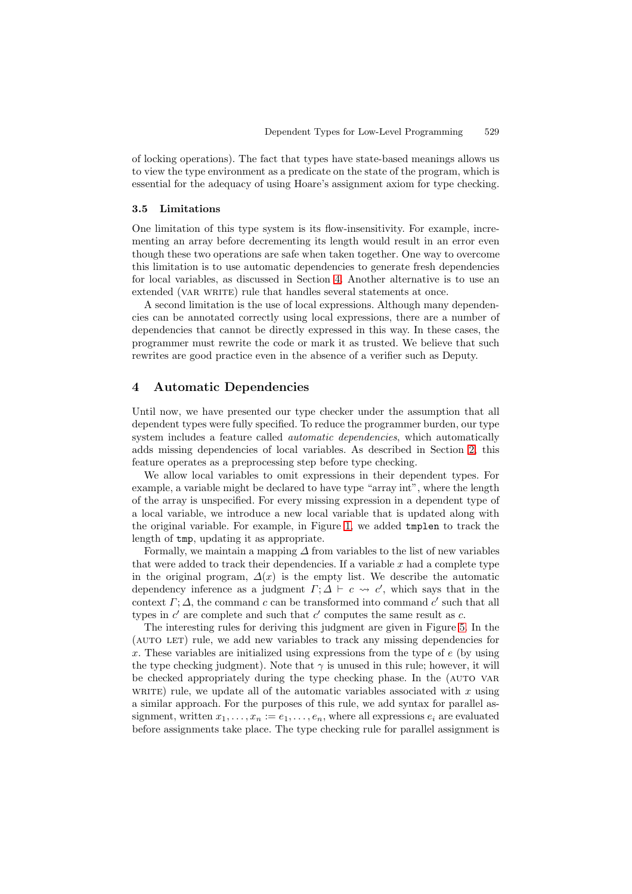of locking operations). The fact that types have state-based meanings allows us to view the type environment as a predicate on the state of the program, which is essential for the adequacy of using Hoare's assignment axiom for type checking.

#### **3.5 Limitations**

One limitation of this type system is its flow-insensitivity. For example, incrementing an array before decrementing its length would result in an error even though these two operations are safe when taken together. One way to overcome this limitation is to use automatic dependencies to generate fresh dependencies for local variables, as discussed in Section [4.](#page-9-0) Another alternative is to use an extended (VAR WRITE) rule that handles several statements at once.

A second limitation is the use of local expressions. Although many dependencies can be annotated correctly using local expressions, there are a number of dependencies that cannot be directly expressed in this way. In these cases, the programmer must rewrite the code or mark it as trusted. We believe that such rewrites are good practice even in the absence of a verifier such as Deputy.

### <span id="page-9-0"></span>**4 Automatic Dependencies**

Until now, we have presented our type checker under the assumption that all dependent types were fully specified. To reduce the programmer burden, our type system includes a feature called *automatic dependencies*, which automatically adds missing dependencies of local variables. As described in Section [2,](#page-1-0) this feature operates as a preprocessing step before type checking.

We allow local variables to omit expressions in their dependent types. For example, a variable might be declared to have type "array int", where the length of the array is unspecified. For every missing expression in a dependent type of a local variable, we introduce a new local variable that is updated along with the original variable. For example, in Figure [1,](#page-2-0) we added tmplen to track the length of tmp, updating it as appropriate.

Formally, we maintain a mapping  $\Delta$  from variables to the list of new variables that were added to track their dependencies. If a variable  $x$  had a complete type in the original program,  $\Delta(x)$  is the empty list. We describe the automatic dependency inference as a judgment  $\Gamma$ ;  $\Delta \vdash c \leadsto c'$ , which says that in the context  $\Gamma$ ;  $\Delta$ , the command c can be transformed into command c' such that all types in  $c'$  are complete and such that  $c'$  computes the same result as  $c$ .

The interesting rules for deriving this judgment are given in Figure [5.](#page-10-1) In the (auto let) rule, we add new variables to track any missing dependencies for x. These variables are initialized using expressions from the type of  $e$  (by using the type checking judgment). Note that  $\gamma$  is unused in this rule; however, it will be checked appropriately during the type checking phase. In the (auto var written with x using when the automatic variables associated with x using a similar approach. For the purposes of this rule, we add syntax for parallel assignment, written  $x_1, \ldots, x_n := e_1, \ldots, e_n$ , where all expressions  $e_i$  are evaluated before assignments take place. The type checking rule for parallel assignment is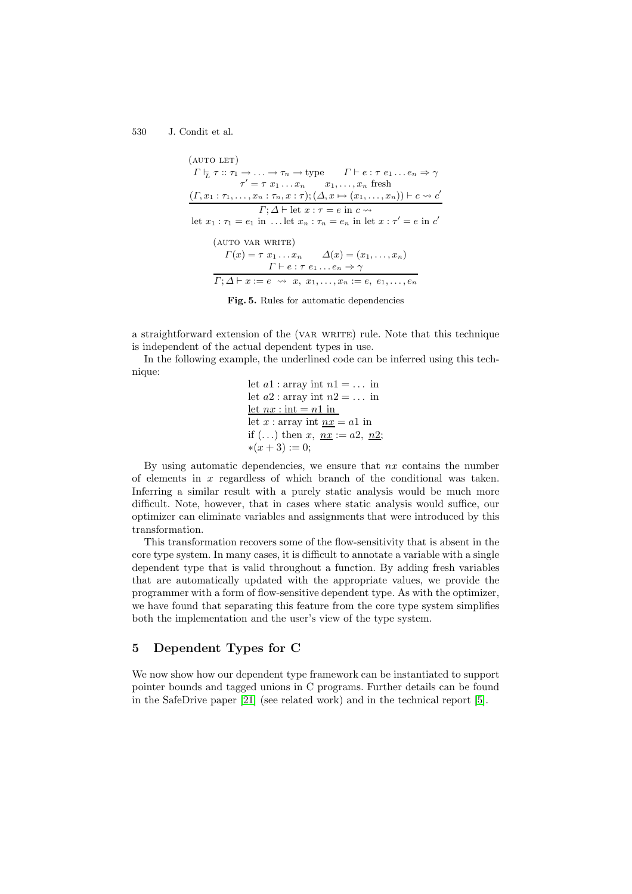(AUTO LET)  
\n
$$
\Gamma \vdash_L \tau :: \tau_1 \to \dots \to \tau_n \to \text{type} \qquad \Gamma \vdash e : \tau e_1 \dots e_n \Rightarrow \gamma
$$
\n
$$
\tau' = \tau x_1 \dots x_n \qquad x_1, \dots, x_n \text{ fresh}
$$
\n
$$
\frac{(\Gamma, x_1 : \tau_1, \dots, x_n : \tau_n, x : \tau); (\Delta, x \mapsto (x_1, \dots, x_n)) \vdash c \leadsto c'}{\Gamma; \Delta \vdash \text{let } x : \tau = e \text{ in } c \leadsto
$$
\nlet  $x_1 : \tau_1 = e_1 \text{ in } \dots \text{let } x_n : \tau_n = e_n \text{ in } \text{let } x : \tau' = e \text{ in } c'$ \n(AUTO VAR WRITE)  
\n
$$
\Gamma(x) = \tau x_1 \dots x_n \qquad \Delta(x) = (x_1, \dots, x_n)
$$
\n
$$
\frac{\Gamma \vdash e : \tau e_1 \dots e_n \Rightarrow \gamma}{\Gamma; \Delta \vdash x := e \leadsto x, x_1, \dots, x_n := e, e_1, \dots, e_n}
$$

<span id="page-10-1"></span>**Fig. 5.** Rules for automatic dependencies

a straightforward extension of the (VAR WRITE) rule. Note that this technique is independent of the actual dependent types in use.

In the following example, the underlined code can be inferred using this technique:

```
let a_1: array int n_1 = \ldots in
let a2: array int n2 = ... in
let nx: int = n1 in
let x : array int nx = a1 in
if (...) then x, nx := a2, n2;*(x + 3) := 0;
```
By using automatic dependencies, we ensure that  $nx$  contains the number of elements in  $x$  regardless of which branch of the conditional was taken. Inferring a similar result with a purely static analysis would be much more difficult. Note, however, that in cases where static analysis would suffice, our optimizer can eliminate variables and assignments that were introduced by this transformation.

This transformation recovers some of the flow-sensitivity that is absent in the core type system. In many cases, it is difficult to annotate a variable with a single dependent type that is valid throughout a function. By adding fresh variables that are automatically updated with the appropriate values, we provide the programmer with a form of flow-sensitive dependent type. As with the optimizer, we have found that separating this feature from the core type system simplifies both the implementation and the user's view of the type system.

# <span id="page-10-0"></span>**5 Dependent Types for C**

We now show how our dependent type framework can be instantiated to support pointer bounds and tagged unions in C programs. Further details can be found in the SafeDrive paper [\[21\]](#page-15-9) (see related work) and in the technical report [\[5\]](#page-15-8).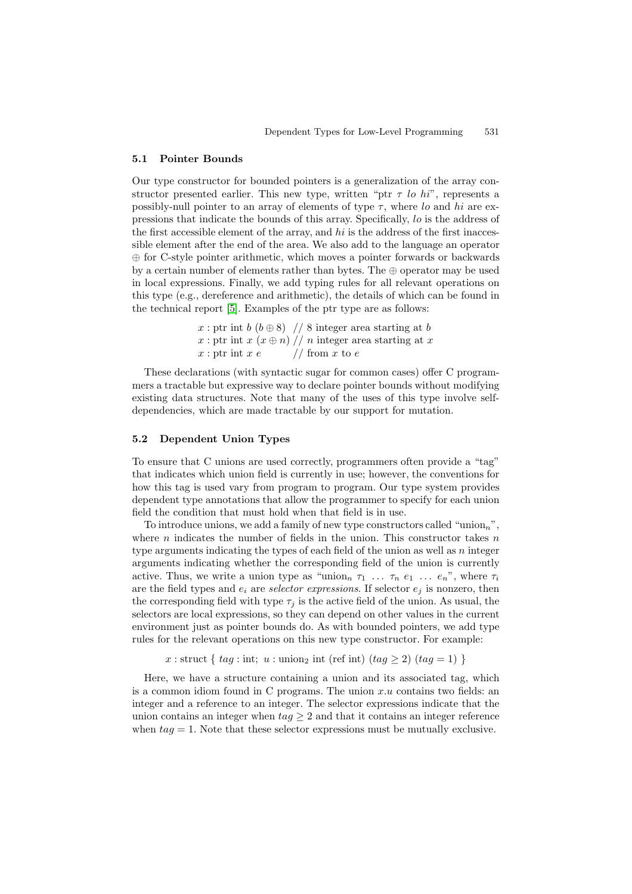#### **5.1 Pointer Bounds**

Our type constructor for bounded pointers is a generalization of the array constructor presented earlier. This new type, written "ptr  $\tau$  lo hi", represents a possibly-null pointer to an array of elements of type  $\tau$ , where lo and hi are expressions that indicate the bounds of this array. Specifically, lo is the address of the first accessible element of the array, and  $hi$  is the address of the first inaccessible element after the end of the area. We also add to the language an operator ⊕ for C-style pointer arithmetic, which moves a pointer forwards or backwards by a certain number of elements rather than bytes. The ⊕ operator may be used in local expressions. Finally, we add typing rules for all relevant operations on this type (e.g., dereference and arithmetic), the details of which can be found in the technical report [\[5\]](#page-15-8). Examples of the ptr type are as follows:

> x : ptr int b  $(b \oplus 8)$  // 8 integer area starting at b x : ptr int  $x(x \oplus n)$  // n integer area starting at x  $x:$  ptr int  $x e$  // from  $x \text{ to } e$

These declarations (with syntactic sugar for common cases) offer C programmers a tractable but expressive way to declare pointer bounds without modifying existing data structures. Note that many of the uses of this type involve selfdependencies, which are made tractable by our support for mutation.

#### **5.2 Dependent Union Types**

To ensure that C unions are used correctly, programmers often provide a "tag" that indicates which union field is currently in use; however, the conventions for how this tag is used vary from program to program. Our type system provides dependent type annotations that allow the programmer to specify for each union field the condition that must hold when that field is in use.

To introduce unions, we add a family of new type constructors called "union<sub>n</sub>", where  $n$  indicates the number of fields in the union. This constructor takes  $n$ type arguments indicating the types of each field of the union as well as  $n$  integer arguments indicating whether the corresponding field of the union is currently active. Thus, we write a union type as "union<sub>n</sub>  $\tau_1 \ldots \tau_n$   $e_1 \ldots e_n$ ", where  $\tau_i$ are the field types and  $e_i$  are selector expressions. If selector  $e_j$  is nonzero, then the corresponding field with type  $\tau_j$  is the active field of the union. As usual, the selectors are local expressions, so they can depend on other values in the current environment just as pointer bounds do. As with bounded pointers, we add type rules for the relevant operations on this new type constructor. For example:

x : struct {  $tag$  : int; u : union<sub>2</sub> int (ref int) ( $tag \ge 2$ ) ( $tag = 1$ ) }

Here, we have a structure containing a union and its associated tag, which is a common idiom found in C programs. The union  $x.u$  contains two fields: an integer and a reference to an integer. The selector expressions indicate that the union contains an integer when  $taq > 2$  and that it contains an integer reference when  $tag = 1$ . Note that these selector expressions must be mutually exclusive.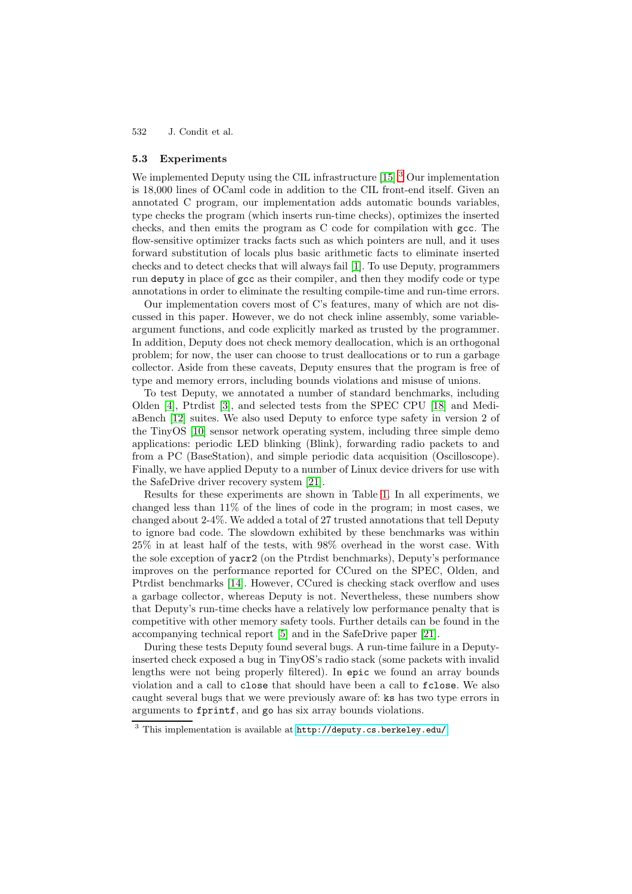#### <span id="page-12-0"></span>**5.3 Experiments**

We implemented Deputy using the CIL infrastructure [\[15\]](#page-15-10).<sup>[3](#page-12-1)</sup> Our implementation is 18,000 lines of OCaml code in addition to the CIL front-end itself. Given an annotated C program, our implementation adds automatic bounds variables, type checks the program (which inserts run-time checks), optimizes the inserted checks, and then emits the program as C code for compilation with gcc. The flow-sensitive optimizer tracks facts such as which pointers are null, and it uses forward substitution of locals plus basic arithmetic facts to eliminate inserted checks and to detect checks that will always fail [\[1\]](#page-15-7). To use Deputy, programmers run deputy in place of gcc as their compiler, and then they modify code or type annotations in order to eliminate the resulting compile-time and run-time errors.

Our implementation covers most of C's features, many of which are not discussed in this paper. However, we do not check inline assembly, some variableargument functions, and code explicitly marked as trusted by the programmer. In addition, Deputy does not check memory deallocation, which is an orthogonal problem; for now, the user can choose to trust deallocations or to run a garbage collector. Aside from these caveats, Deputy ensures that the program is free of type and memory errors, including bounds violations and misuse of unions.

To test Deputy, we annotated a number of standard benchmarks, including Olden [\[4\]](#page-15-11), Ptrdist [\[3\]](#page-15-12), and selected tests from the SPEC CPU [\[18\]](#page-15-13) and MediaBench [\[12\]](#page-15-14) suites. We also used Deputy to enforce type safety in version 2 of the TinyOS [\[10\]](#page-15-15) sensor network operating system, including three simple demo applications: periodic LED blinking (Blink), forwarding radio packets to and from a PC (BaseStation), and simple periodic data acquisition (Oscilloscope). Finally, we have applied Deputy to a number of Linux device drivers for use with the SafeDrive driver recovery system [\[21\]](#page-15-9).

Results for these experiments are shown in Table [1.](#page-13-1) In all experiments, we changed less than 11% of the lines of code in the program; in most cases, we changed about 2-4%. We added a total of 27 trusted annotations that tell Deputy to ignore bad code. The slowdown exhibited by these benchmarks was within 25% in at least half of the tests, with 98% overhead in the worst case. With the sole exception of yacr2 (on the Ptrdist benchmarks), Deputy's performance improves on the performance reported for CCured on the SPEC, Olden, and Ptrdist benchmarks [\[14\]](#page-15-6). However, CCured is checking stack overflow and uses a garbage collector, whereas Deputy is not. Nevertheless, these numbers show that Deputy's run-time checks have a relatively low performance penalty that is competitive with other memory safety tools. Further details can be found in the accompanying technical report [\[5\]](#page-15-8) and in the SafeDrive paper [\[21\]](#page-15-9).

During these tests Deputy found several bugs. A run-time failure in a Deputyinserted check exposed a bug in TinyOS's radio stack (some packets with invalid lengths were not being properly filtered). In epic we found an array bounds violation and a call to close that should have been a call to fclose. We also caught several bugs that we were previously aware of: ks has two type errors in arguments to fprintf, and go has six array bounds violations.

<span id="page-12-1"></span><sup>3</sup> This implementation is available at <http://deputy.cs.berkeley.edu/>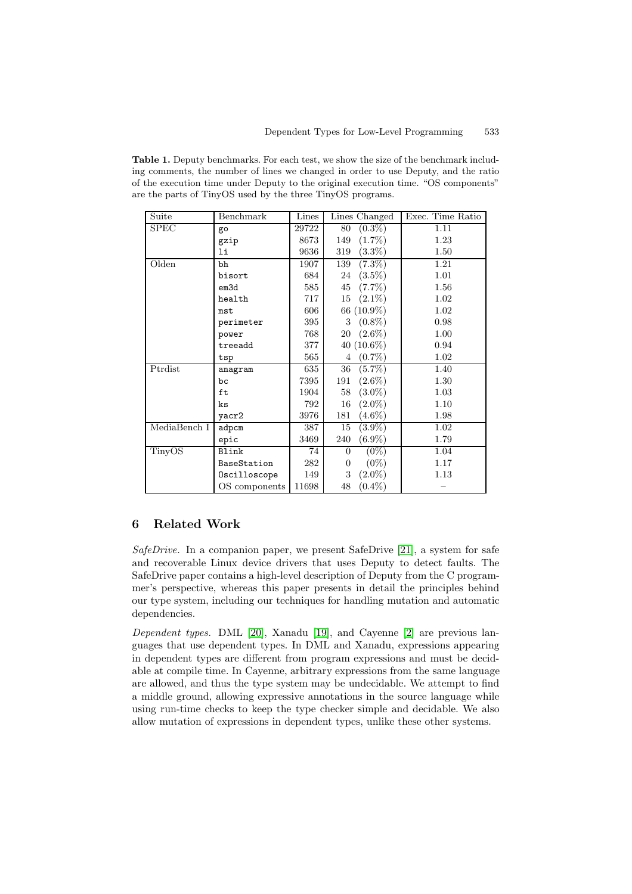<span id="page-13-1"></span>**Table 1.** Deputy benchmarks. For each test, we show the size of the benchmark including comments, the number of lines we changed in order to use Deputy, and the ratio of the execution time under Deputy to the original execution time. "OS components" are the parts of TinyOS used by the three TinyOS programs.

| Suite               | Benchmark     | Lines | Lines Changed             | Exec. Time Ratio |
|---------------------|---------------|-------|---------------------------|------------------|
| <b>SPEC</b>         | go            | 29722 | $(0.3\%)$<br>80           | 1.11             |
|                     | gzip          | 8673  | $(1.7\%)$<br>149          | 1.23             |
|                     | li.           | 9636  | $(3.3\%)$<br>319          | 1.50             |
| Olden               | bh            | 1907  | $(7.3\%)$<br>139          | 1.21             |
|                     | bisort        | 684   | $(3.5\%)$<br>24           | 1.01             |
|                     | em3d          | 585   | $(7.7\%)$<br>45           | 1.56             |
|                     | health        | 717   | $(2.1\%)$<br>15           | 1.02             |
|                     | mst           | 606   | 66 (10.9%)                | 1.02             |
|                     | perimeter     | 395   | 3 $(0.8\%)$               | 0.98             |
|                     | power         | 768   | $(2.6\%)$<br>20           | 1.00             |
|                     | treeadd       | 377   | 40 (10.6%)                | 0.94             |
|                     | tsp           | 565   | $(0.7\%)$<br>4            | 1.02             |
| Ptrdist             | anagram       | 635   | $(5.7\%)$<br>36           | 1.40             |
|                     | bc            | 7395  | $(2.6\%)$<br>191          | 1.30             |
|                     | ft            | 1904  | $(3.0\%)$<br>58           | 1.03             |
|                     | ks            | 792   | $(2.0\%)$<br>16           | 1.10             |
|                     | yacr2         | 3976  | $(4.6\%)$<br>181          | 1.98             |
| MediaBench I        | adpcm         | 387   | $(3.9\%)$<br>15           | 1.02             |
|                     | epic          | 3469  | $(6.9\%)$<br>240          | 1.79             |
| $Tiny\overline{OS}$ | Blink         | 74    | $(0\%)$<br>$\overline{0}$ | 1.04             |
|                     | BaseStation   | 282   | $(0\%)$<br>$\overline{0}$ | 1.17             |
|                     | Oscilloscope  | 149   | $(2.0\%)$<br>3            | 1.13             |
|                     | OS components | 11698 | $(0.4\%)$<br>48           |                  |

# <span id="page-13-0"></span>**6 Related Work**

SafeDrive. In a companion paper, we present SafeDrive [\[21\]](#page-15-9), a system for safe and recoverable Linux device drivers that uses Deputy to detect faults. The SafeDrive paper contains a high-level description of Deputy from the C programmer's perspective, whereas this paper presents in detail the principles behind our type system, including our techniques for handling mutation and automatic dependencies.

Dependent types. DML [\[20\]](#page-15-2), Xanadu [\[19\]](#page-15-1), and Cayenne [\[2\]](#page-15-0) are previous languages that use dependent types. In DML and Xanadu, expressions appearing in dependent types are different from program expressions and must be decidable at compile time. In Cayenne, arbitrary expressions from the same language are allowed, and thus the type system may be undecidable. We attempt to find a middle ground, allowing expressive annotations in the source language while using run-time checks to keep the type checker simple and decidable. We also allow mutation of expressions in dependent types, unlike these other systems.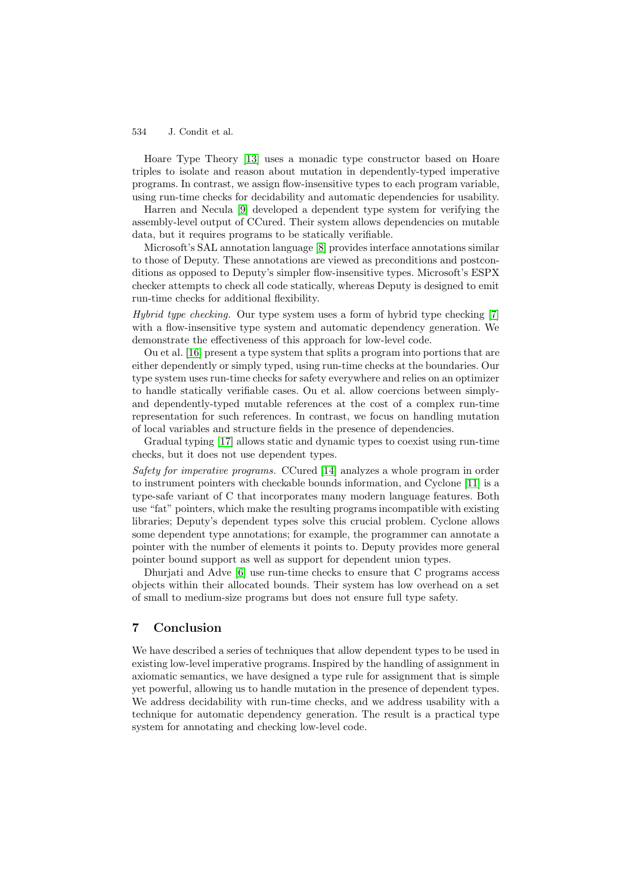Hoare Type Theory [\[13\]](#page-15-16) uses a monadic type constructor based on Hoare triples to isolate and reason about mutation in dependently-typed imperative programs. In contrast, we assign flow-insensitive types to each program variable, using run-time checks for decidability and automatic dependencies for usability.

Harren and Necula [\[9\]](#page-15-17) developed a dependent type system for verifying the assembly-level output of CCured. Their system allows dependencies on mutable data, but it requires programs to be statically verifiable.

Microsoft's SAL annotation language [\[8\]](#page-15-18) provides interface annotations similar to those of Deputy. These annotations are viewed as preconditions and postconditions as opposed to Deputy's simpler flow-insensitive types. Microsoft's ESPX checker attempts to check all code statically, whereas Deputy is designed to emit run-time checks for additional flexibility.

Hybrid type checking. Our type system uses a form of hybrid type checking [\[7\]](#page-15-4) with a flow-insensitive type system and automatic dependency generation. We demonstrate the effectiveness of this approach for low-level code.

Ou et al. [\[16\]](#page-15-19) present a type system that splits a program into portions that are either dependently or simply typed, using run-time checks at the boundaries. Our type system uses run-time checks for safety everywhere and relies on an optimizer to handle statically verifiable cases. Ou et al. allow coercions between simplyand dependently-typed mutable references at the cost of a complex run-time representation for such references. In contrast, we focus on handling mutation of local variables and structure fields in the presence of dependencies.

Gradual typing [\[17\]](#page-15-20) allows static and dynamic types to coexist using run-time checks, but it does not use dependent types.

Safety for imperative programs. CCured [\[14\]](#page-15-6) analyzes a whole program in order to instrument pointers with checkable bounds information, and Cyclone [\[11\]](#page-15-5) is a type-safe variant of C that incorporates many modern language features. Both use "fat" pointers, which make the resulting programs incompatible with existing libraries; Deputy's dependent types solve this crucial problem. Cyclone allows some dependent type annotations; for example, the programmer can annotate a pointer with the number of elements it points to. Deputy provides more general pointer bound support as well as support for dependent union types.

Dhurjati and Adve [\[6\]](#page-15-21) use run-time checks to ensure that C programs access objects within their allocated bounds. Their system has low overhead on a set of small to medium-size programs but does not ensure full type safety.

### **7 Conclusion**

We have described a series of techniques that allow dependent types to be used in existing low-level imperative programs. Inspired by the handling of assignment in axiomatic semantics, we have designed a type rule for assignment that is simple yet powerful, allowing us to handle mutation in the presence of dependent types. We address decidability with run-time checks, and we address usability with a technique for automatic dependency generation. The result is a practical type system for annotating and checking low-level code.